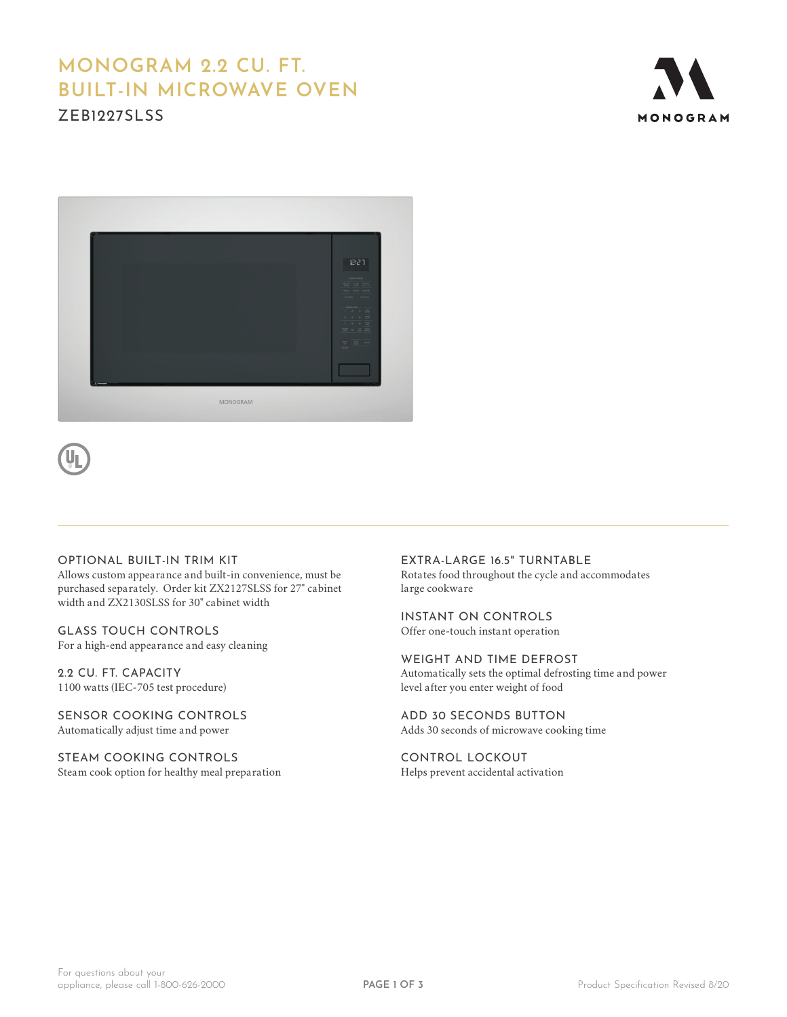# **MONOGRAM 2.2 CU. FT. BUILT-IN MICROWAVE OVEN**

ZEB1227SLSS





### OPTIONAL BUILT-IN TRIM KIT

Allows custom appearance and built-in convenience, must be purchased separately. Order kit ZX2127SLSS for 27" cabinet width and ZX2130SLSS for 30" cabinet width

GLASS TOUCH CONTROLS For a high-end appearance and easy cleaning

2.2 CU. FT. CAPACITY 1100 watts (IEC-705 test procedure)

SENSOR COOKING CONTROLS Automatically adjust time and power

STEAM COOKING CONTROLS Steam cook option for healthy meal preparation

EXTRA-LARGE 16.5" TURNTABLE Rotates food throughout the cycle and accommodates large cookware

INSTANT ON CONTROLS Offer one-touch instant operation

WEIGHT AND TIME DEFROST Automatically sets the optimal defrosting time and power level after you enter weight of food

ADD 30 SECONDS BUTTON Adds 30 seconds of microwave cooking time

CONTROL LOCKOUT Helps prevent accidental activation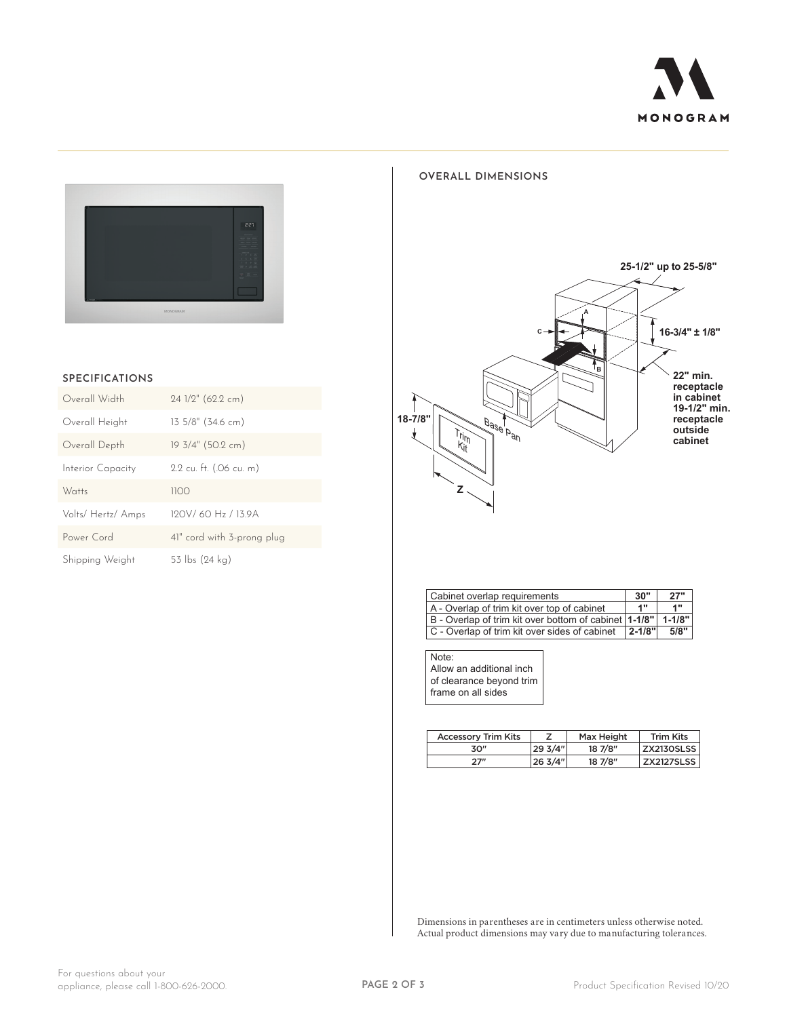



#### **SPECIFICATIONS**

| Overall Width      | 24 1/2" (62.2 cm)            |
|--------------------|------------------------------|
| Overall Height     | $13.5/8$ " (34.6 cm)         |
| Overall Depth      | 19 3/4" (50.2 cm)            |
| Interior Capacity  | 2.2 cu. ft. (.06 cu. m)      |
| Watts              | 1100                         |
| Volts/ Hertz/ Amps | 190V/60 H <sub>2</sub> /139A |
| Power Cord         | 41" cord with 3-prong plug   |
| Shipping Weight    | 53 lbs (24 ka)               |

#### **OVERALL DIMENSIONS**



| Cabinet overlap requirements                                     |    | 27"  |
|------------------------------------------------------------------|----|------|
| A - Overlap of trim kit over top of cabinet                      | 1" | 4 11 |
| B - Overlap of trim kit over bottom of cabinet   1-1/8"   1-1/8" |    |      |
| C - Overlap of trim kit over sides of cabinet   2-1/8"           |    | 5/8" |

Note: Allow an additional inch of clearance beyond trim frame on all sides

| <b>Accessory Trim Kits</b> |         | Max Height | <b>Trim Kits</b> |
|----------------------------|---------|------------|------------------|
| 30″                        | 29 3/4" | 18 7/8"    | ZX2130SLSS       |
| 27″                        | 26 3/4" | 18 7/8"    | ZX2127SLSS       |

Dimensions in parentheses are in centimeters unless otherwise noted. Actual product dimensions may vary due to manufacturing tolerances.